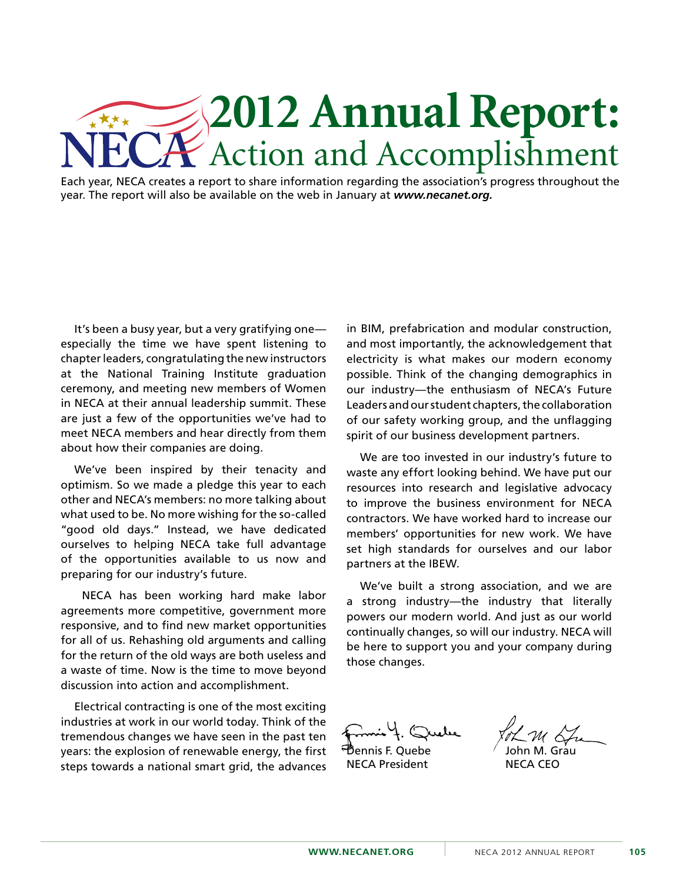## **2012 Annual Report:** Action and Accomplishment

Each year, NECA creates a report to share information regarding the association's progress throughout the year. The report will also be available on the web in January at *www.necanet.org.*

It's been a busy year, but a very gratifying one especially the time we have spent listening to chapter leaders, congratulating the new instructors at the National Training Institute graduation ceremony, and meeting new members of Women in NECA at their annual leadership summit. These are just a few of the opportunities we've had to meet NECA members and hear directly from them about how their companies are doing.

We've been inspired by their tenacity and optimism. So we made a pledge this year to each other and NECA's members: no more talking about what used to be. No more wishing for the so-called "good old days." Instead, we have dedicated ourselves to helping NECA take full advantage of the opportunities available to us now and preparing for our industry's future.

 NECA has been working hard make labor agreements more competitive, government more responsive, and to find new market opportunities for all of us. Rehashing old arguments and calling for the return of the old ways are both useless and a waste of time. Now is the time to move beyond discussion into action and accomplishment.

Electrical contracting is one of the most exciting industries at work in our world today. Think of the tremendous changes we have seen in the past ten years: the explosion of renewable energy, the first steps towards a national smart grid, the advances in BIM, prefabrication and modular construction, and most importantly, the acknowledgement that electricity is what makes our modern economy possible. Think of the changing demographics in our industry—the enthusiasm of NECA's Future Leaders and our student chapters, the collaboration of our safety working group, and the unflagging spirit of our business development partners.

We are too invested in our industry's future to waste any effort looking behind. We have put our resources into research and legislative advocacy to improve the business environment for NECA contractors. We have worked hard to increase our members' opportunities for new work. We have set high standards for ourselves and our labor partners at the IBEW.

We've built a strong association, and we are a strong industry—the industry that literally powers our modern world. And just as our world continually changes, so will our industry. NECA will be here to support you and your company during those changes.

Dennis F. Quebe

NECA President

John M. Grau

NECA CEO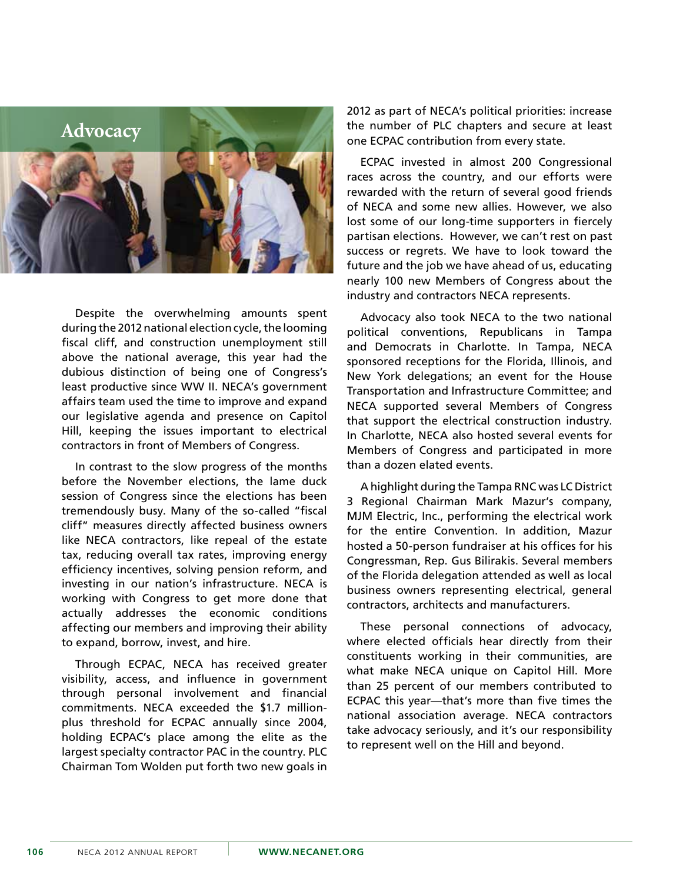

Despite the overwhelming amounts spent during the 2012 national election cycle, the looming fiscal cliff, and construction unemployment still above the national average, this year had the dubious distinction of being one of Congress's least productive since WW II. NECA's government affairs team used the time to improve and expand our legislative agenda and presence on Capitol Hill, keeping the issues important to electrical contractors in front of Members of Congress.

In contrast to the slow progress of the months before the November elections, the lame duck session of Congress since the elections has been tremendously busy. Many of the so-called "fiscal cliff" measures directly affected business owners like NECA contractors, like repeal of the estate tax, reducing overall tax rates, improving energy efficiency incentives, solving pension reform, and investing in our nation's infrastructure. NECA is working with Congress to get more done that actually addresses the economic conditions affecting our members and improving their ability to expand, borrow, invest, and hire.

Through ECPAC, NECA has received greater visibility, access, and influence in government through personal involvement and financial commitments. NECA exceeded the \$1.7 millionplus threshold for ECPAC annually since 2004, holding ECPAC's place among the elite as the largest specialty contractor PAC in the country. PLC Chairman Tom Wolden put forth two new goals in

2012 as part of NECA's political priorities: increase the number of PLC chapters and secure at least one ECPAC contribution from every state.

ECPAC invested in almost 200 Congressional races across the country, and our efforts were rewarded with the return of several good friends of NECA and some new allies. However, we also lost some of our long-time supporters in fiercely partisan elections. However, we can't rest on past success or regrets. We have to look toward the future and the job we have ahead of us, educating nearly 100 new Members of Congress about the industry and contractors NECA represents.

Advocacy also took NECA to the two national political conventions, Republicans in Tampa and Democrats in Charlotte. In Tampa, NECA sponsored receptions for the Florida, Illinois, and New York delegations; an event for the House Transportation and Infrastructure Committee; and NECA supported several Members of Congress that support the electrical construction industry. In Charlotte, NECA also hosted several events for Members of Congress and participated in more than a dozen elated events.

A highlight during the Tampa RNC was LC District 3 Regional Chairman Mark Mazur's company, MJM Electric, Inc., performing the electrical work for the entire Convention. In addition, Mazur hosted a 50-person fundraiser at his offices for his Congressman, Rep. Gus Bilirakis. Several members of the Florida delegation attended as well as local business owners representing electrical, general contractors, architects and manufacturers.

These personal connections of advocacy, where elected officials hear directly from their constituents working in their communities, are what make NECA unique on Capitol Hill. More than 25 percent of our members contributed to ECPAC this year—that's more than five times the national association average. NECA contractors take advocacy seriously, and it's our responsibility to represent well on the Hill and beyond.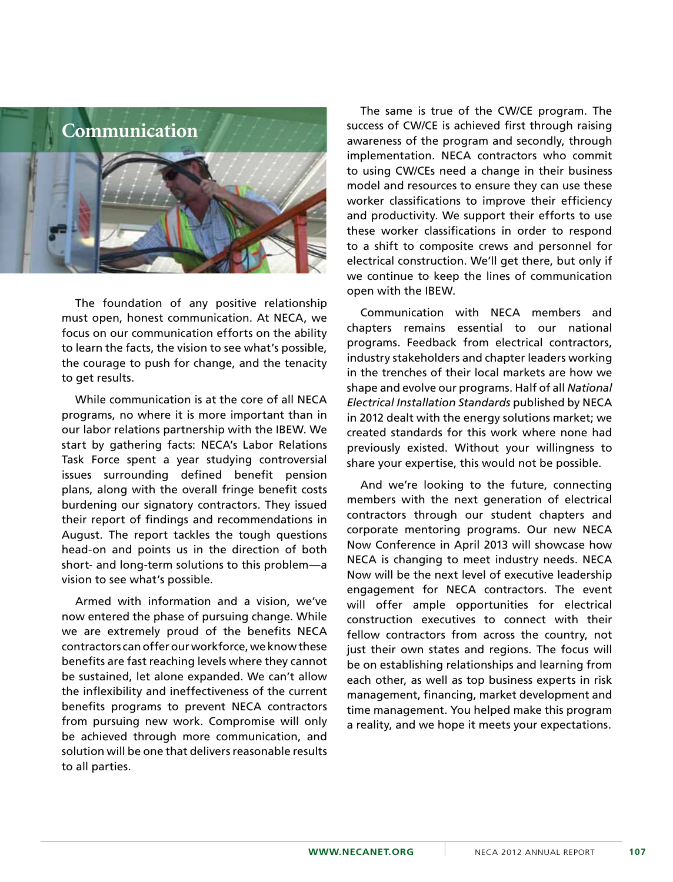

The foundation of any positive relationship must open, honest communication. At NECA, we focus on our communication efforts on the ability to learn the facts, the vision to see what's possible, the courage to push for change, and the tenacity to get results.

While communication is at the core of all NECA programs, no where it is more important than in our labor relations partnership with the IBEW. We start by gathering facts: NECA's Labor Relations Task Force spent a year studying controversial issues surrounding defined benefit pension plans, along with the overall fringe benefit costs burdening our signatory contractors. They issued their report of findings and recommendations in August. The report tackles the tough questions head-on and points us in the direction of both short- and long-term solutions to this problem—a vision to see what's possible.

Armed with information and a vision, we've now entered the phase of pursuing change. While we are extremely proud of the benefits NECA contractors can offer our workforce, we know these benefits are fast reaching levels where they cannot be sustained, let alone expanded. We can't allow the inflexibility and ineffectiveness of the current benefits programs to prevent NECA contractors from pursuing new work. Compromise will only be achieved through more communication, and solution will be one that delivers reasonable results to all parties.

The same is true of the CW/CE program. The success of CW/CE is achieved first through raising awareness of the program and secondly, through implementation. NECA contractors who commit to using CW/CEs need a change in their business model and resources to ensure they can use these worker classifications to improve their efficiency and productivity. We support their efforts to use these worker classifications in order to respond to a shift to composite crews and personnel for electrical construction. We'll get there, but only if we continue to keep the lines of communication open with the IBEW.

Communication with NECA members and chapters remains essential to our national programs. Feedback from electrical contractors, industry stakeholders and chapter leaders working in the trenches of their local markets are how we shape and evolve our programs. Half of all *National Electrical Installation Standards* published by NECA in 2012 dealt with the energy solutions market; we created standards for this work where none had previously existed. Without your willingness to share your expertise, this would not be possible.

And we're looking to the future, connecting members with the next generation of electrical contractors through our student chapters and corporate mentoring programs. Our new NECA Now Conference in April 2013 will showcase how NECA is changing to meet industry needs. NECA Now will be the next level of executive leadership engagement for NECA contractors. The event will offer ample opportunities for electrical construction executives to connect with their fellow contractors from across the country, not just their own states and regions. The focus will be on establishing relationships and learning from each other, as well as top business experts in risk management, financing, market development and time management. You helped make this program a reality, and we hope it meets your expectations.